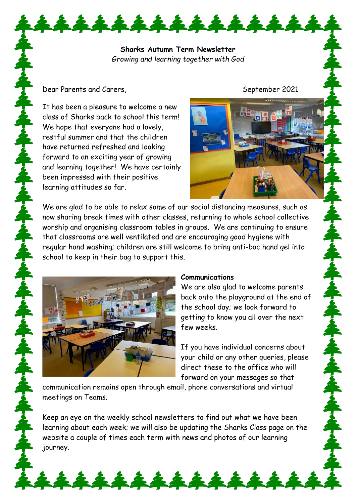**Sharks Autumn Term Newsletter** *Growing and learning together with God*

14444444

### Dear Parents and Carers, September 2021

It has been a pleasure to welcome a new class of Sharks back to school this term! We hope that everyone had a lovely, restful summer and that the children have returned refreshed and looking forward to an exciting year of growing and learning together! We have certainly been impressed with their positive learning attitudes so far.



We are glad to be able to relax some of our social distancing measures, such as now sharing break times with other classes, returning to whole school collective worship and organising classroom tables in groups. We are continuing to ensure that classrooms are well ventilated and are encouraging good hygiene with regular hand washing; children are still welcome to bring anti-bac hand gel into school to keep in their bag to support this.



### **Communications**

We are also glad to welcome parents back onto the playground at the end of the school day; we look forward to getting to know you all over the next few weeks.

If you have individual concerns about your child or any other queries, please direct these to the office who will forward on your messages so that

communication remains open through email, phone conversations and virtual meetings on Teams.

Keep an eye on the weekly school newsletters to find out what we have been learning about each week; we will also be updating the Sharks Class page on the website a couple of times each term with news and photos of our learning journey.

\*\*\*\*\*\*\*\*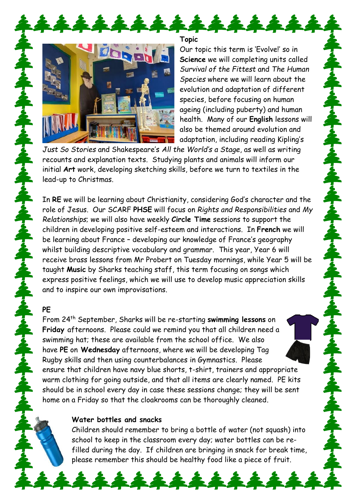

**Topic**

14444

Our topic this term is 'Evolve!' so in **Science** we will completing units called *Survival of the Fittest* and *The Human Species* where we will learn about the evolution and adaptation of different species, before focusing on human ageing (including puberty) and human health. Many of our **English** lessons will also be themed around evolution and adaptation, including reading Kipling's

*Just So Stories* and Shakespeare's *All the World's a Stage*, as well as writing recounts and explanation texts. Studying plants and animals will inform our initial **Art** work, developing sketching skills, before we turn to textiles in the lead-up to Christmas.

In **RE** we will be learning about Christianity, considering God's character and the role of Jesus. Our SCARF **PHSE** will focus on *Rights and Responsibilities* and *My Relationships*; we will also have weekly **Circle Time** sessions to support the children in developing positive self-esteem and interactions. In **French** we will be learning about France – developing our knowledge of France's geography whilst building descriptive vocabulary and grammar. This year, Year 6 will receive brass lessons from Mr Probert on Tuesday mornings, while Year 5 will be taught **Music** by Sharks teaching staff, this term focusing on songs which express positive feelings, which we will use to develop music appreciation skills and to inspire our own improvisations.

## **PE**

From 24th September, Sharks will be re-starting **swimming lessons** on **Friday** afternoons. Please could we remind you that all children need a swimming hat; these are available from the school office. We also have **PE** on **Wednesday** afternoons, where we will be developing Tag Rugby skills and then using counterbalances in Gymnastics. Please ensure that children have navy blue shorts, t-shirt, trainers and appropriate warm clothing for going outside, and that all items are clearly named. PE kits should be in school every day in case these sessions change; they will be sent home on a Friday so that the cloakrooms can be thoroughly cleaned.

# **Water bottles and snacks**

Children should remember to bring a bottle of water (not squash) into school to keep in the classroom every day; water bottles can be refilled during the day. If children are bringing in snack for break time, please remember this should be healthy food like a piece of fruit.